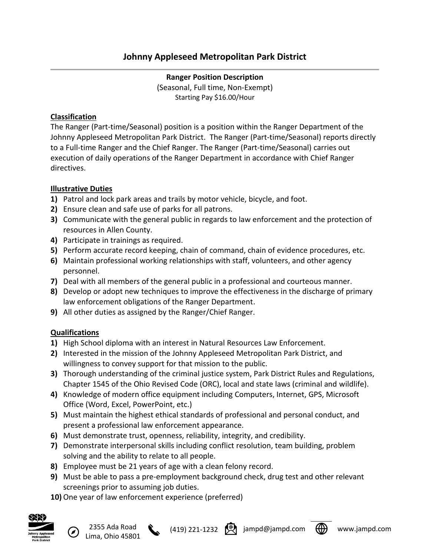**Ranger Position Description** (Seasonal, Full time, Non-Exempt) Starting Pay \$16.00/Hour

## **Classification**

The Ranger (Part-time/Seasonal) position is a position within the Ranger Department of the Johnny Appleseed Metropolitan Park District. The Ranger (Part-time/Seasonal) reports directly to a Full-time Ranger and the Chief Ranger. The Ranger (Part-time/Seasonal) carries out execution of daily operations of the Ranger Department in accordance with Chief Ranger directives.

# **Illustrative Duties**

- **1)** Patrol and lock park areas and trails by motor vehicle, bicycle, and foot.
- **2)** Ensure clean and safe use of parks for all patrons.
- **3)** Communicate with the general public in regards to law enforcement and the protection of resources in Allen County.
- **4)** Participate in trainings as required.
- **5)** Perform accurate record keeping, chain of command, chain of evidence procedures, etc.
- **6)** Maintain professional working relationships with staff, volunteers, and other agency personnel.
- **7)** Deal with all members of the general public in a professional and courteous manner.
- **8)** Develop or adopt new techniques to improve the effectiveness in the discharge of primary law enforcement obligations of the Ranger Department.
- **9)** All other duties as assigned by the Ranger/Chief Ranger.

# **Qualifications**

- **1)** High School diploma with an interest in Natural Resources Law Enforcement.
- **2)** Interested in the mission of the Johnny Appleseed Metropolitan Park District, and willingness to convey support for that mission to the public.
- **3)** Thorough understanding of the criminal justice system, Park District Rules and Regulations, Chapter 1545 of the Ohio Revised Code (ORC), local and state laws (criminal and wildlife).
- **4)** Knowledge of modern office equipment including Computers, Internet, GPS, Microsoft Office (Word, Excel, PowerPoint, etc.)
- **5)** Must maintain the highest ethical standards of professional and personal conduct, and present a professional law enforcement appearance.
- **6)** Must demonstrate trust, openness, reliability, integrity, and credibility.
- **7)** Demonstrate interpersonal skills including conflict resolution, team building, problem solving and the ability to relate to all people.
- **8)** Employee must be 21 years of age with a clean felony record.
- **9)** Must be able to pass a pre-employment background check, drug test and other relevant screenings prior to assuming job duties.
- **10)** One year of law enforcement experience (preferred)